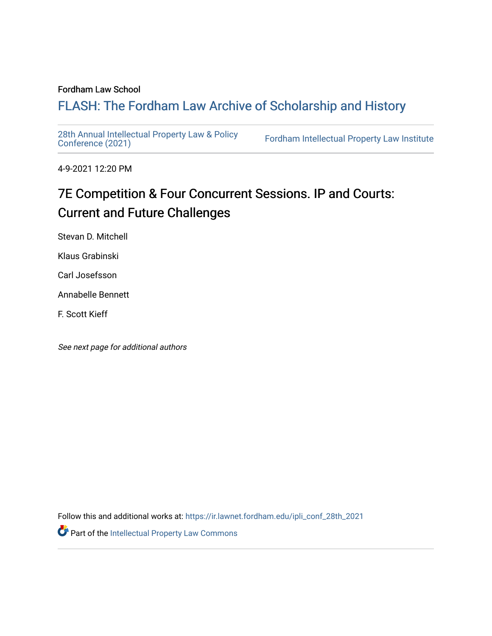### Fordham Law School

# FLASH: The For[dham Law Archive of Scholarship and Hist](https://ir.lawnet.fordham.edu/)ory

[28th Annual Intellectual Property Law & Policy](https://ir.lawnet.fordham.edu/ipli_conf_28th_2021)<br>Conference (2021)

Fordham Intellectual Property Law Institute

4-9-2021 12:20 PM

# 7E Competition & Four Concurrent Sessions. IP and Courts: Current and Future Challenges

Stevan D. Mitchell

Klaus Grabinski

Carl Josefsson

Annabelle Bennett

F. Scott Kieff

See next page for additional authors

Follow this and additional works at: [https://ir.lawnet.fordham.edu/ipli\\_conf\\_28th\\_2021](https://ir.lawnet.fordham.edu/ipli_conf_28th_2021?utm_source=ir.lawnet.fordham.edu%2Fipli_conf_28th_2021%2F25&utm_medium=PDF&utm_campaign=PDFCoverPages) 

Part of the [Intellectual Property Law Commons](http://network.bepress.com/hgg/discipline/896?utm_source=ir.lawnet.fordham.edu%2Fipli_conf_28th_2021%2F25&utm_medium=PDF&utm_campaign=PDFCoverPages)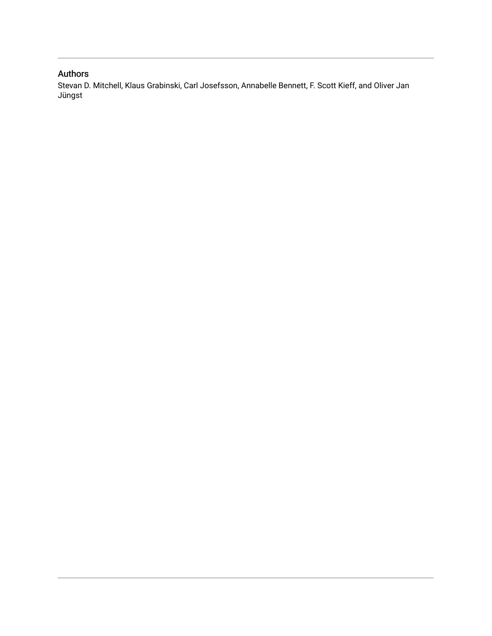## Authors

Stevan D. Mitchell, Klaus Grabinski, Carl Josefsson, Annabelle Bennett, F. Scott Kieff, and Oliver Jan Jüngst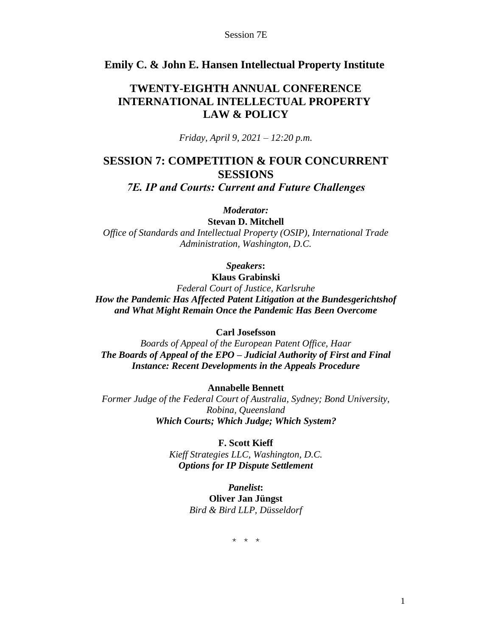### **Emily C. & John E. Hansen Intellectual Property Institute**

## **TWENTY-EIGHTH ANNUAL CONFERENCE INTERNATIONAL INTELLECTUAL PROPERTY LAW & POLICY**

*Friday, April 9, 2021 – 12:20 p.m.*

# **SESSION 7: COMPETITION & FOUR CONCURRENT SESSIONS**

*7E. IP and Courts: Current and Future Challenges*

*Moderator:*

**Stevan D. Mitchell**

*Office of Standards and Intellectual Property (OSIP), International Trade Administration, Washington, D.C.*

## *Speakers***:**

**Klaus Grabinski** *Federal Court of Justice, Karlsruhe How the Pandemic Has Affected Patent Litigation at the Bundesgerichtshof and What Might Remain Once the Pandemic Has Been Overcome*

**Carl Josefsson**

*Boards of Appeal of the European Patent Office, Haar The Boards of Appeal of the EPO – Judicial Authority of First and Final Instance: Recent Developments in the Appeals Procedure*

**Annabelle Bennett**

*Former Judge of the Federal Court of Australia, Sydney; Bond University, Robina, Queensland Which Courts; Which Judge; Which System?*

> **F. Scott Kieff** *Kieff Strategies LLC, Washington, D.C.*

*Options for IP Dispute Settlement*

*Panelist***: Oliver Jan Jüngst** *Bird & Bird LLP, Düsseldorf*

\* \* \*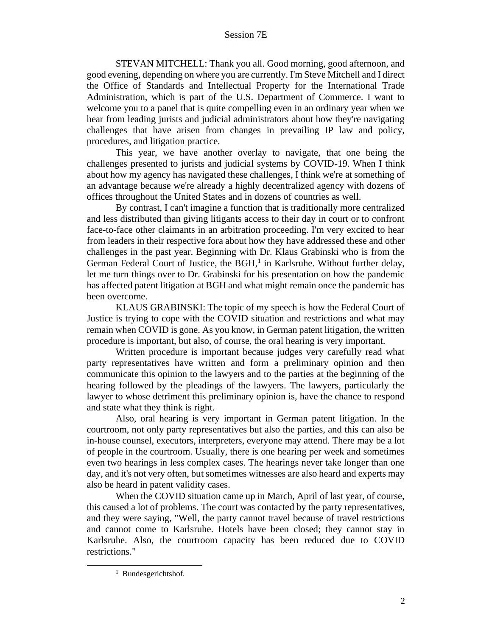STEVAN MITCHELL: Thank you all. Good morning, good afternoon, and good evening, depending on where you are currently. I'm Steve Mitchell and I direct the Office of Standards and Intellectual Property for the International Trade Administration, which is part of the U.S. Department of Commerce. I want to welcome you to a panel that is quite compelling even in an ordinary year when we hear from leading jurists and judicial administrators about how they're navigating challenges that have arisen from changes in prevailing IP law and policy, procedures, and litigation practice.

This year, we have another overlay to navigate, that one being the challenges presented to jurists and judicial systems by COVID-19. When I think about how my agency has navigated these challenges, I think we're at something of an advantage because we're already a highly decentralized agency with dozens of offices throughout the United States and in dozens of countries as well.

By contrast, I can't imagine a function that is traditionally more centralized and less distributed than giving litigants access to their day in court or to confront face-to-face other claimants in an arbitration proceeding. I'm very excited to hear from leaders in their respective fora about how they have addressed these and other challenges in the past year. Beginning with Dr. Klaus Grabinski who is from the German Federal Court of Justice, the BGH, $<sup>1</sup>$  in Karlsruhe. Without further delay,</sup> let me turn things over to Dr. Grabinski for his presentation on how the pandemic has affected patent litigation at BGH and what might remain once the pandemic has been overcome.

KLAUS GRABINSKI: The topic of my speech is how the Federal Court of Justice is trying to cope with the COVID situation and restrictions and what may remain when COVID is gone. As you know, in German patent litigation, the written procedure is important, but also, of course, the oral hearing is very important.

Written procedure is important because judges very carefully read what party representatives have written and form a preliminary opinion and then communicate this opinion to the lawyers and to the parties at the beginning of the hearing followed by the pleadings of the lawyers. The lawyers, particularly the lawyer to whose detriment this preliminary opinion is, have the chance to respond and state what they think is right.

Also, oral hearing is very important in German patent litigation. In the courtroom, not only party representatives but also the parties, and this can also be in-house counsel, executors, interpreters, everyone may attend. There may be a lot of people in the courtroom. Usually, there is one hearing per week and sometimes even two hearings in less complex cases. The hearings never take longer than one day, and it's not very often, but sometimes witnesses are also heard and experts may also be heard in patent validity cases.

When the COVID situation came up in March, April of last year, of course, this caused a lot of problems. The court was contacted by the party representatives, and they were saying, "Well, the party cannot travel because of travel restrictions and cannot come to Karlsruhe. Hotels have been closed; they cannot stay in Karlsruhe. Also, the courtroom capacity has been reduced due to COVID restrictions."

<sup>&</sup>lt;sup>1</sup> Bundesgerichtshof.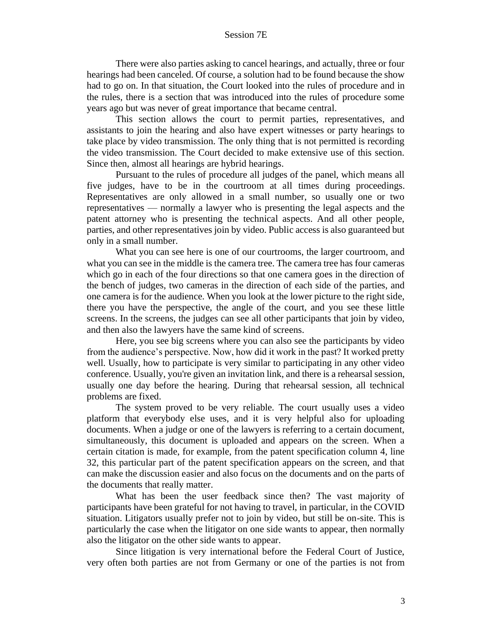There were also parties asking to cancel hearings, and actually, three or four hearings had been canceled. Of course, a solution had to be found because the show had to go on. In that situation, the Court looked into the rules of procedure and in the rules, there is a section that was introduced into the rules of procedure some years ago but was never of great importance that became central.

This section allows the court to permit parties, representatives, and assistants to join the hearing and also have expert witnesses or party hearings to take place by video transmission. The only thing that is not permitted is recording the video transmission. The Court decided to make extensive use of this section. Since then, almost all hearings are hybrid hearings.

Pursuant to the rules of procedure all judges of the panel, which means all five judges, have to be in the courtroom at all times during proceedings. Representatives are only allowed in a small number, so usually one or two representatives — normally a lawyer who is presenting the legal aspects and the patent attorney who is presenting the technical aspects. And all other people, parties, and other representatives join by video. Public access is also guaranteed but only in a small number.

What you can see here is one of our courtrooms, the larger courtroom, and what you can see in the middle is the camera tree. The camera tree has four cameras which go in each of the four directions so that one camera goes in the direction of the bench of judges, two cameras in the direction of each side of the parties, and one camera is for the audience. When you look at the lower picture to the right side, there you have the perspective, the angle of the court, and you see these little screens. In the screens, the judges can see all other participants that join by video, and then also the lawyers have the same kind of screens.

Here, you see big screens where you can also see the participants by video from the audience's perspective. Now, how did it work in the past? It worked pretty well. Usually, how to participate is very similar to participating in any other video conference. Usually, you're given an invitation link, and there is a rehearsal session, usually one day before the hearing. During that rehearsal session, all technical problems are fixed.

The system proved to be very reliable. The court usually uses a video platform that everybody else uses, and it is very helpful also for uploading documents. When a judge or one of the lawyers is referring to a certain document, simultaneously, this document is uploaded and appears on the screen. When a certain citation is made, for example, from the patent specification column 4, line 32, this particular part of the patent specification appears on the screen, and that can make the discussion easier and also focus on the documents and on the parts of the documents that really matter.

What has been the user feedback since then? The vast majority of participants have been grateful for not having to travel, in particular, in the COVID situation. Litigators usually prefer not to join by video, but still be on-site. This is particularly the case when the litigator on one side wants to appear, then normally also the litigator on the other side wants to appear.

Since litigation is very international before the Federal Court of Justice, very often both parties are not from Germany or one of the parties is not from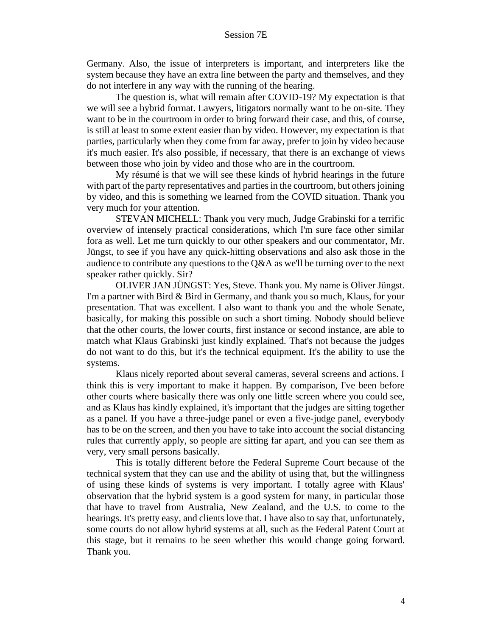Germany. Also, the issue of interpreters is important, and interpreters like the system because they have an extra line between the party and themselves, and they do not interfere in any way with the running of the hearing.

The question is, what will remain after COVID-19? My expectation is that we will see a hybrid format. Lawyers, litigators normally want to be on-site. They want to be in the courtroom in order to bring forward their case, and this, of course, is still at least to some extent easier than by video. However, my expectation is that parties, particularly when they come from far away, prefer to join by video because it's much easier. It's also possible, if necessary, that there is an exchange of views between those who join by video and those who are in the courtroom.

My résumé is that we will see these kinds of hybrid hearings in the future with part of the party representatives and parties in the courtroom, but others joining by video, and this is something we learned from the COVID situation. Thank you very much for your attention.

STEVAN MICHELL: Thank you very much, Judge Grabinski for a terrific overview of intensely practical considerations, which I'm sure face other similar fora as well. Let me turn quickly to our other speakers and our commentator, Mr. Jüngst, to see if you have any quick-hitting observations and also ask those in the audience to contribute any questions to the Q&A as we'll be turning over to the next speaker rather quickly. Sir?

OLIVER JAN JÜNGST: Yes, Steve. Thank you. My name is Oliver Jüngst. I'm a partner with Bird & Bird in Germany, and thank you so much, Klaus, for your presentation. That was excellent. I also want to thank you and the whole Senate, basically, for making this possible on such a short timing. Nobody should believe that the other courts, the lower courts, first instance or second instance, are able to match what Klaus Grabinski just kindly explained. That's not because the judges do not want to do this, but it's the technical equipment. It's the ability to use the systems.

Klaus nicely reported about several cameras, several screens and actions. I think this is very important to make it happen. By comparison, I've been before other courts where basically there was only one little screen where you could see, and as Klaus has kindly explained, it's important that the judges are sitting together as a panel. If you have a three-judge panel or even a five-judge panel, everybody has to be on the screen, and then you have to take into account the social distancing rules that currently apply, so people are sitting far apart, and you can see them as very, very small persons basically.

This is totally different before the Federal Supreme Court because of the technical system that they can use and the ability of using that, but the willingness of using these kinds of systems is very important. I totally agree with Klaus' observation that the hybrid system is a good system for many, in particular those that have to travel from Australia, New Zealand, and the U.S. to come to the hearings. It's pretty easy, and clients love that. I have also to say that, unfortunately, some courts do not allow hybrid systems at all, such as the Federal Patent Court at this stage, but it remains to be seen whether this would change going forward. Thank you.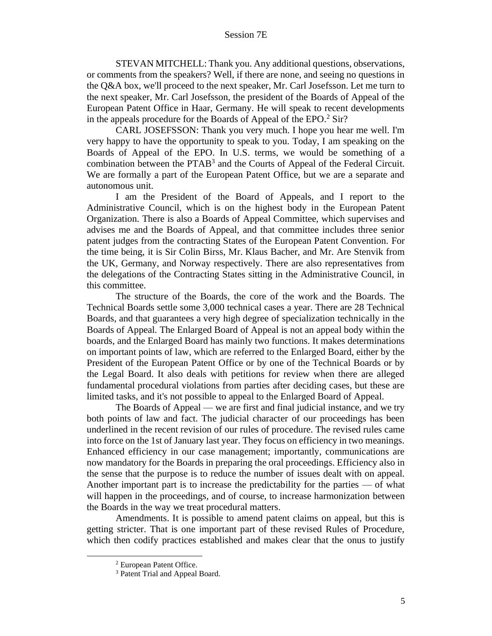STEVAN MITCHELL: Thank you. Any additional questions, observations, or comments from the speakers? Well, if there are none, and seeing no questions in the Q&A box, we'll proceed to the next speaker, Mr. Carl Josefsson. Let me turn to the next speaker, Mr. Carl Josefsson, the president of the Boards of Appeal of the European Patent Office in Haar, Germany. He will speak to recent developments in the appeals procedure for the Boards of Appeal of the EPO. $2$  Sir?

CARL JOSEFSSON: Thank you very much. I hope you hear me well. I'm very happy to have the opportunity to speak to you. Today, I am speaking on the Boards of Appeal of the EPO. In U.S. terms, we would be something of a combination between the PTAB<sup>3</sup> and the Courts of Appeal of the Federal Circuit. We are formally a part of the European Patent Office, but we are a separate and autonomous unit.

I am the President of the Board of Appeals, and I report to the Administrative Council, which is on the highest body in the European Patent Organization. There is also a Boards of Appeal Committee, which supervises and advises me and the Boards of Appeal, and that committee includes three senior patent judges from the contracting States of the European Patent Convention. For the time being, it is Sir Colin Birss, Mr. Klaus Bacher, and Mr. Are Stenvik from the UK, Germany, and Norway respectively. There are also representatives from the delegations of the Contracting States sitting in the Administrative Council, in this committee.

The structure of the Boards, the core of the work and the Boards. The Technical Boards settle some 3,000 technical cases a year. There are 28 Technical Boards, and that guarantees a very high degree of specialization technically in the Boards of Appeal. The Enlarged Board of Appeal is not an appeal body within the boards, and the Enlarged Board has mainly two functions. It makes determinations on important points of law, which are referred to the Enlarged Board, either by the President of the European Patent Office or by one of the Technical Boards or by the Legal Board. It also deals with petitions for review when there are alleged fundamental procedural violations from parties after deciding cases, but these are limited tasks, and it's not possible to appeal to the Enlarged Board of Appeal.

The Boards of Appeal — we are first and final judicial instance, and we try both points of law and fact. The judicial character of our proceedings has been underlined in the recent revision of our rules of procedure. The revised rules came into force on the 1st of January last year. They focus on efficiency in two meanings. Enhanced efficiency in our case management; importantly, communications are now mandatory for the Boards in preparing the oral proceedings. Efficiency also in the sense that the purpose is to reduce the number of issues dealt with on appeal. Another important part is to increase the predictability for the parties — of what will happen in the proceedings, and of course, to increase harmonization between the Boards in the way we treat procedural matters.

Amendments. It is possible to amend patent claims on appeal, but this is getting stricter. That is one important part of these revised Rules of Procedure, which then codify practices established and makes clear that the onus to justify

<sup>2</sup> European Patent Office.

<sup>&</sup>lt;sup>3</sup> Patent Trial and Appeal Board.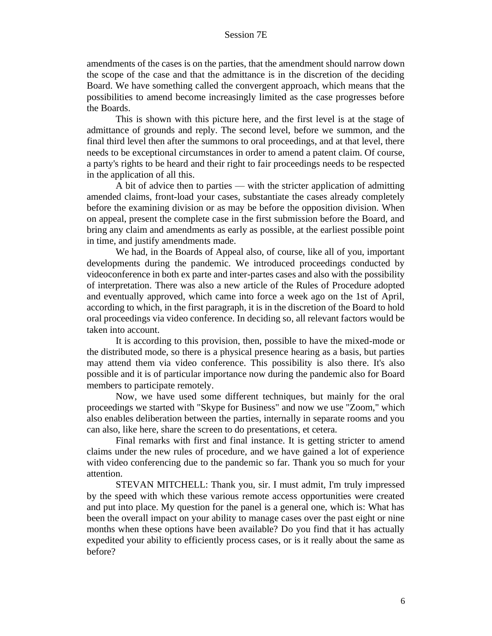amendments of the cases is on the parties, that the amendment should narrow down the scope of the case and that the admittance is in the discretion of the deciding Board. We have something called the convergent approach, which means that the possibilities to amend become increasingly limited as the case progresses before the Boards.

This is shown with this picture here, and the first level is at the stage of admittance of grounds and reply. The second level, before we summon, and the final third level then after the summons to oral proceedings, and at that level, there needs to be exceptional circumstances in order to amend a patent claim. Of course, a party's rights to be heard and their right to fair proceedings needs to be respected in the application of all this.

A bit of advice then to parties — with the stricter application of admitting amended claims, front-load your cases, substantiate the cases already completely before the examining division or as may be before the opposition division. When on appeal, present the complete case in the first submission before the Board, and bring any claim and amendments as early as possible, at the earliest possible point in time, and justify amendments made.

We had, in the Boards of Appeal also, of course, like all of you, important developments during the pandemic. We introduced proceedings conducted by videoconference in both ex parte and inter-partes cases and also with the possibility of interpretation. There was also a new article of the Rules of Procedure adopted and eventually approved, which came into force a week ago on the 1st of April, according to which, in the first paragraph, it is in the discretion of the Board to hold oral proceedings via video conference. In deciding so, all relevant factors would be taken into account.

It is according to this provision, then, possible to have the mixed-mode or the distributed mode, so there is a physical presence hearing as a basis, but parties may attend them via video conference. This possibility is also there. It's also possible and it is of particular importance now during the pandemic also for Board members to participate remotely.

Now, we have used some different techniques, but mainly for the oral proceedings we started with "Skype for Business" and now we use "Zoom," which also enables deliberation between the parties, internally in separate rooms and you can also, like here, share the screen to do presentations, et cetera.

Final remarks with first and final instance. It is getting stricter to amend claims under the new rules of procedure, and we have gained a lot of experience with video conferencing due to the pandemic so far. Thank you so much for your attention.

STEVAN MITCHELL: Thank you, sir. I must admit, I'm truly impressed by the speed with which these various remote access opportunities were created and put into place. My question for the panel is a general one, which is: What has been the overall impact on your ability to manage cases over the past eight or nine months when these options have been available? Do you find that it has actually expedited your ability to efficiently process cases, or is it really about the same as before?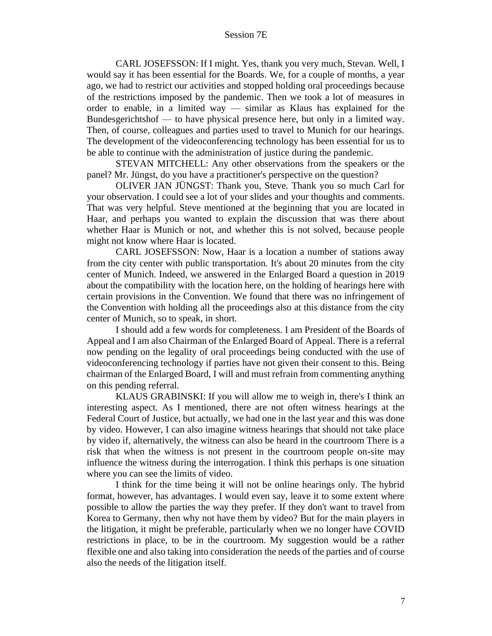CARL JOSEFSSON: If I might. Yes, thank you very much, Stevan. Well, I would say it has been essential for the Boards. We, for a couple of months, a year ago, we had to restrict our activities and stopped holding oral proceedings because of the restrictions imposed by the pandemic. Then we took a lot of measures in order to enable, in a limited way — similar as Klaus has explained for the Bundesgerichtshof — to have physical presence here, but only in a limited way. Then, of course, colleagues and parties used to travel to Munich for our hearings. The development of the videoconferencing technology has been essential for us to be able to continue with the administration of justice during the pandemic.

STEVAN MITCHELL: Any other observations from the speakers or the panel? Mr. Jüngst, do you have a practitioner's perspective on the question?

OLIVER JAN JÜNGST: Thank you, Steve. Thank you so much Carl for your observation. I could see a lot of your slides and your thoughts and comments. That was very helpful. Steve mentioned at the beginning that you are located in Haar, and perhaps you wanted to explain the discussion that was there about whether Haar is Munich or not, and whether this is not solved, because people might not know where Haar is located.

CARL JOSEFSSON: Now, Haar is a location a number of stations away from the city center with public transportation. It's about 20 minutes from the city center of Munich. Indeed, we answered in the Enlarged Board a question in 2019 about the compatibility with the location here, on the holding of hearings here with certain provisions in the Convention. We found that there was no infringement of the Convention with holding all the proceedings also at this distance from the city center of Munich, so to speak, in short.

I should add a few words for completeness. I am President of the Boards of Appeal and I am also Chairman of the Enlarged Board of Appeal. There is a referral now pending on the legality of oral proceedings being conducted with the use of videoconferencing technology if parties have not given their consent to this. Being chairman of the Enlarged Board, I will and must refrain from commenting anything on this pending referral.

KLAUS GRABINSKI: If you will allow me to weigh in, there's I think an interesting aspect. As I mentioned, there are not often witness hearings at the Federal Court of Justice, but actually, we had one in the last year and this was done by video. However, I can also imagine witness hearings that should not take place by video if, alternatively, the witness can also be heard in the courtroom There is a risk that when the witness is not present in the courtroom people on-site may influence the witness during the interrogation. I think this perhaps is one situation where you can see the limits of video.

I think for the time being it will not be online hearings only. The hybrid format, however, has advantages. I would even say, leave it to some extent where possible to allow the parties the way they prefer. If they don't want to travel from Korea to Germany, then why not have them by video? But for the main players in the litigation, it might be preferable, particularly when we no longer have COVID restrictions in place, to be in the courtroom. My suggestion would be a rather flexible one and also taking into consideration the needs of the parties and of course also the needs of the litigation itself.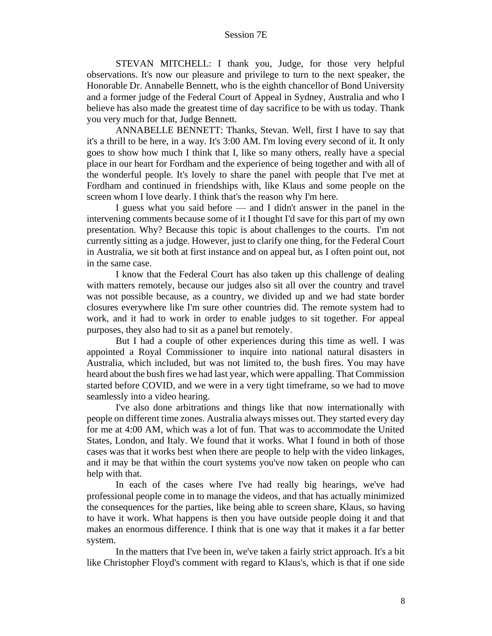STEVAN MITCHELL: I thank you, Judge, for those very helpful observations. It's now our pleasure and privilege to turn to the next speaker, the Honorable Dr. Annabelle Bennett, who is the eighth chancellor of Bond University and a former judge of the Federal Court of Appeal in Sydney, Australia and who I believe has also made the greatest time of day sacrifice to be with us today. Thank you very much for that, Judge Bennett.

ANNABELLE BENNETT: Thanks, Stevan. Well, first I have to say that it's a thrill to be here, in a way. It's 3:00 AM. I'm loving every second of it. It only goes to show how much I think that I, like so many others, really have a special place in our heart for Fordham and the experience of being together and with all of the wonderful people. It's lovely to share the panel with people that I've met at Fordham and continued in friendships with, like Klaus and some people on the screen whom I love dearly. I think that's the reason why I'm here.

I guess what you said before — and I didn't answer in the panel in the intervening comments because some of it I thought I'd save for this part of my own presentation. Why? Because this topic is about challenges to the courts. I'm not currently sitting as a judge. However, just to clarify one thing, for the Federal Court in Australia, we sit both at first instance and on appeal but, as I often point out, not in the same case.

I know that the Federal Court has also taken up this challenge of dealing with matters remotely, because our judges also sit all over the country and travel was not possible because, as a country, we divided up and we had state border closures everywhere like I'm sure other countries did. The remote system had to work, and it had to work in order to enable judges to sit together. For appeal purposes, they also had to sit as a panel but remotely.

But I had a couple of other experiences during this time as well. I was appointed a Royal Commissioner to inquire into national natural disasters in Australia, which included, but was not limited to, the bush fires. You may have heard about the bush fires we had last year, which were appalling. That Commission started before COVID, and we were in a very tight timeframe, so we had to move seamlessly into a video hearing.

I've also done arbitrations and things like that now internationally with people on different time zones. Australia always misses out. They started every day for me at 4:00 AM, which was a lot of fun. That was to accommodate the United States, London, and Italy. We found that it works. What I found in both of those cases was that it works best when there are people to help with the video linkages, and it may be that within the court systems you've now taken on people who can help with that.

In each of the cases where I've had really big hearings, we've had professional people come in to manage the videos, and that has actually minimized the consequences for the parties, like being able to screen share, Klaus, so having to have it work. What happens is then you have outside people doing it and that makes an enormous difference. I think that is one way that it makes it a far better system.

In the matters that I've been in, we've taken a fairly strict approach. It's a bit like Christopher Floyd's comment with regard to Klaus's, which is that if one side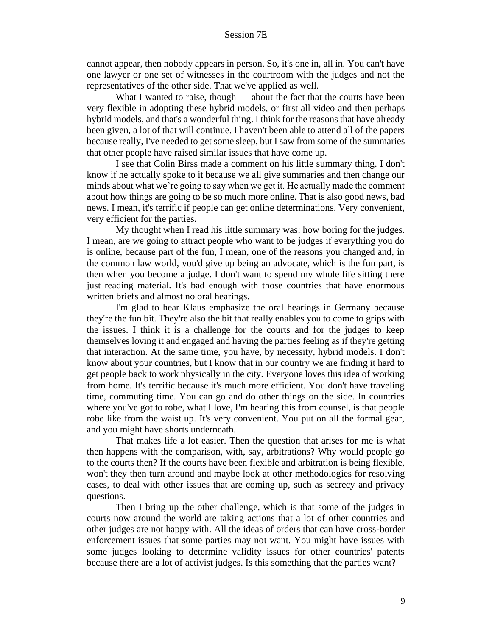cannot appear, then nobody appears in person. So, it's one in, all in. You can't have one lawyer or one set of witnesses in the courtroom with the judges and not the representatives of the other side. That we've applied as well.

What I wanted to raise, though — about the fact that the courts have been very flexible in adopting these hybrid models, or first all video and then perhaps hybrid models, and that's a wonderful thing. I think for the reasons that have already been given, a lot of that will continue. I haven't been able to attend all of the papers because really, I've needed to get some sleep, but I saw from some of the summaries that other people have raised similar issues that have come up.

I see that Colin Birss made a comment on his little summary thing. I don't know if he actually spoke to it because we all give summaries and then change our minds about what we're going to say when we get it. He actually made the comment about how things are going to be so much more online. That is also good news, bad news. I mean, it's terrific if people can get online determinations. Very convenient, very efficient for the parties.

My thought when I read his little summary was: how boring for the judges. I mean, are we going to attract people who want to be judges if everything you do is online, because part of the fun, I mean, one of the reasons you changed and, in the common law world, you'd give up being an advocate, which is the fun part, is then when you become a judge. I don't want to spend my whole life sitting there just reading material. It's bad enough with those countries that have enormous written briefs and almost no oral hearings.

I'm glad to hear Klaus emphasize the oral hearings in Germany because they're the fun bit. They're also the bit that really enables you to come to grips with the issues. I think it is a challenge for the courts and for the judges to keep themselves loving it and engaged and having the parties feeling as if they're getting that interaction. At the same time, you have, by necessity, hybrid models. I don't know about your countries, but I know that in our country we are finding it hard to get people back to work physically in the city. Everyone loves this idea of working from home. It's terrific because it's much more efficient. You don't have traveling time, commuting time. You can go and do other things on the side. In countries where you've got to robe, what I love, I'm hearing this from counsel, is that people robe like from the waist up. It's very convenient. You put on all the formal gear, and you might have shorts underneath.

That makes life a lot easier. Then the question that arises for me is what then happens with the comparison, with, say, arbitrations? Why would people go to the courts then? If the courts have been flexible and arbitration is being flexible, won't they then turn around and maybe look at other methodologies for resolving cases, to deal with other issues that are coming up, such as secrecy and privacy questions.

Then I bring up the other challenge, which is that some of the judges in courts now around the world are taking actions that a lot of other countries and other judges are not happy with. All the ideas of orders that can have cross-border enforcement issues that some parties may not want. You might have issues with some judges looking to determine validity issues for other countries' patents because there are a lot of activist judges. Is this something that the parties want?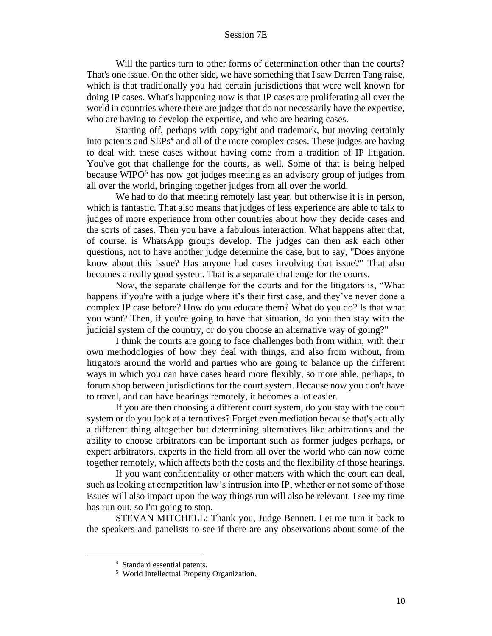Will the parties turn to other forms of determination other than the courts? That's one issue. On the other side, we have something that I saw Darren Tang raise, which is that traditionally you had certain jurisdictions that were well known for doing IP cases. What's happening now is that IP cases are proliferating all over the world in countries where there are judges that do not necessarily have the expertise, who are having to develop the expertise, and who are hearing cases.

Starting off, perhaps with copyright and trademark, but moving certainly into patents and SEPs 4 and all of the more complex cases. These judges are having to deal with these cases without having come from a tradition of IP litigation. You've got that challenge for the courts, as well. Some of that is being helped because WIPO<sup>5</sup> has now got judges meeting as an advisory group of judges from all over the world, bringing together judges from all over the world.

We had to do that meeting remotely last year, but otherwise it is in person, which is fantastic. That also means that judges of less experience are able to talk to judges of more experience from other countries about how they decide cases and the sorts of cases. Then you have a fabulous interaction. What happens after that, of course, is WhatsApp groups develop. The judges can then ask each other questions, not to have another judge determine the case, but to say, "Does anyone know about this issue? Has anyone had cases involving that issue?" That also becomes a really good system. That is a separate challenge for the courts.

Now, the separate challenge for the courts and for the litigators is, "What happens if you're with a judge where it's their first case, and they've never done a complex IP case before? How do you educate them? What do you do? Is that what you want? Then, if you're going to have that situation, do you then stay with the judicial system of the country, or do you choose an alternative way of going?"

I think the courts are going to face challenges both from within, with their own methodologies of how they deal with things, and also from without, from litigators around the world and parties who are going to balance up the different ways in which you can have cases heard more flexibly, so more able, perhaps, to forum shop between jurisdictions for the court system. Because now you don't have to travel, and can have hearings remotely, it becomes a lot easier.

If you are then choosing a different court system, do you stay with the court system or do you look at alternatives? Forget even mediation because that's actually a different thing altogether but determining alternatives like arbitrations and the ability to choose arbitrators can be important such as former judges perhaps, or expert arbitrators, experts in the field from all over the world who can now come together remotely, which affects both the costs and the flexibility of those hearings.

If you want confidentiality or other matters with which the court can deal, such as looking at competition law's intrusion into IP, whether or not some of those issues will also impact upon the way things run will also be relevant. I see my time has run out, so I'm going to stop.

STEVAN MITCHELL: Thank you, Judge Bennett. Let me turn it back to the speakers and panelists to see if there are any observations about some of the

<sup>4</sup> Standard essential patents.

<sup>&</sup>lt;sup>5</sup> World Intellectual Property Organization.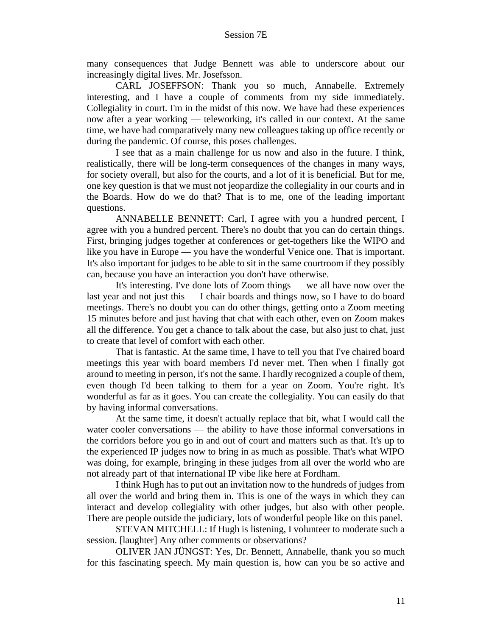many consequences that Judge Bennett was able to underscore about our increasingly digital lives. Mr. Josefsson.

CARL JOSEFFSON: Thank you so much, Annabelle. Extremely interesting, and I have a couple of comments from my side immediately. Collegiality in court. I'm in the midst of this now. We have had these experiences now after a year working — teleworking, it's called in our context. At the same time, we have had comparatively many new colleagues taking up office recently or during the pandemic. Of course, this poses challenges.

I see that as a main challenge for us now and also in the future. I think, realistically, there will be long-term consequences of the changes in many ways, for society overall, but also for the courts, and a lot of it is beneficial. But for me, one key question is that we must not jeopardize the collegiality in our courts and in the Boards. How do we do that? That is to me, one of the leading important questions.

ANNABELLE BENNETT: Carl, I agree with you a hundred percent, I agree with you a hundred percent. There's no doubt that you can do certain things. First, bringing judges together at conferences or get-togethers like the WIPO and like you have in Europe — you have the wonderful Venice one. That is important. It's also important for judges to be able to sit in the same courtroom if they possibly can, because you have an interaction you don't have otherwise.

It's interesting. I've done lots of Zoom things — we all have now over the last year and not just this — I chair boards and things now, so I have to do board meetings. There's no doubt you can do other things, getting onto a Zoom meeting 15 minutes before and just having that chat with each other, even on Zoom makes all the difference. You get a chance to talk about the case, but also just to chat, just to create that level of comfort with each other.

That is fantastic. At the same time, I have to tell you that I've chaired board meetings this year with board members I'd never met. Then when I finally got around to meeting in person, it's not the same. I hardly recognized a couple of them, even though I'd been talking to them for a year on Zoom. You're right. It's wonderful as far as it goes. You can create the collegiality. You can easily do that by having informal conversations.

At the same time, it doesn't actually replace that bit, what I would call the water cooler conversations — the ability to have those informal conversations in the corridors before you go in and out of court and matters such as that. It's up to the experienced IP judges now to bring in as much as possible. That's what WIPO was doing, for example, bringing in these judges from all over the world who are not already part of that international IP vibe like here at Fordham.

I think Hugh has to put out an invitation now to the hundreds of judges from all over the world and bring them in. This is one of the ways in which they can interact and develop collegiality with other judges, but also with other people. There are people outside the judiciary, lots of wonderful people like on this panel.

STEVAN MITCHELL: If Hugh is listening, I volunteer to moderate such a session. [laughter] Any other comments or observations?

OLIVER JAN JÜNGST: Yes, Dr. Bennett, Annabelle, thank you so much for this fascinating speech. My main question is, how can you be so active and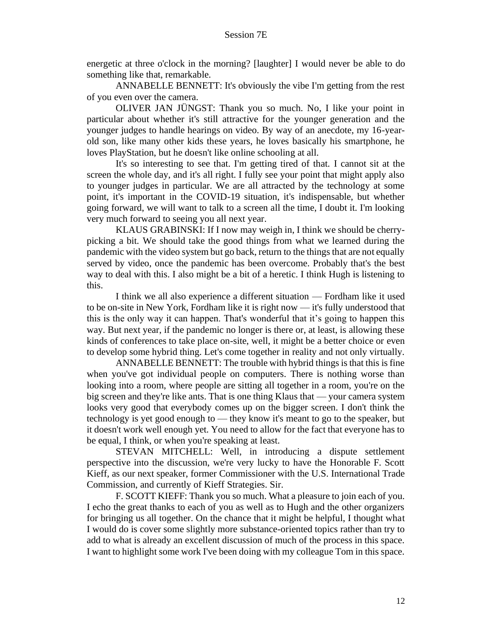energetic at three o'clock in the morning? [laughter] I would never be able to do something like that, remarkable.

ANNABELLE BENNETT: It's obviously the vibe I'm getting from the rest of you even over the camera.

OLIVER JAN JÜNGST: Thank you so much. No, I like your point in particular about whether it's still attractive for the younger generation and the younger judges to handle hearings on video. By way of an anecdote, my 16-yearold son, like many other kids these years, he loves basically his smartphone, he loves PlayStation, but he doesn't like online schooling at all.

It's so interesting to see that. I'm getting tired of that. I cannot sit at the screen the whole day, and it's all right. I fully see your point that might apply also to younger judges in particular. We are all attracted by the technology at some point, it's important in the COVID-19 situation, it's indispensable, but whether going forward, we will want to talk to a screen all the time, I doubt it. I'm looking very much forward to seeing you all next year.

KLAUS GRABINSKI: If I now may weigh in, I think we should be cherrypicking a bit. We should take the good things from what we learned during the pandemic with the video system but go back, return to the things that are not equally served by video, once the pandemic has been overcome. Probably that's the best way to deal with this. I also might be a bit of a heretic. I think Hugh is listening to this.

I think we all also experience a different situation — Fordham like it used to be on-site in New York, Fordham like it is right now — it's fully understood that this is the only way it can happen. That's wonderful that it's going to happen this way. But next year, if the pandemic no longer is there or, at least, is allowing these kinds of conferences to take place on-site, well, it might be a better choice or even to develop some hybrid thing. Let's come together in reality and not only virtually.

ANNABELLE BENNETT: The trouble with hybrid things is that this is fine when you've got individual people on computers. There is nothing worse than looking into a room, where people are sitting all together in a room, you're on the big screen and they're like ants. That is one thing Klaus that — your camera system looks very good that everybody comes up on the bigger screen. I don't think the technology is yet good enough to — they know it's meant to go to the speaker, but it doesn't work well enough yet. You need to allow for the fact that everyone has to be equal, I think, or when you're speaking at least.

STEVAN MITCHELL: Well, in introducing a dispute settlement perspective into the discussion, we're very lucky to have the Honorable F. Scott Kieff, as our next speaker, former Commissioner with the U.S. International Trade Commission, and currently of Kieff Strategies. Sir.

F. SCOTT KIEFF: Thank you so much. What a pleasure to join each of you. I echo the great thanks to each of you as well as to Hugh and the other organizers for bringing us all together. On the chance that it might be helpful, I thought what I would do is cover some slightly more substance-oriented topics rather than try to add to what is already an excellent discussion of much of the process in this space. I want to highlight some work I've been doing with my colleague Tom in this space.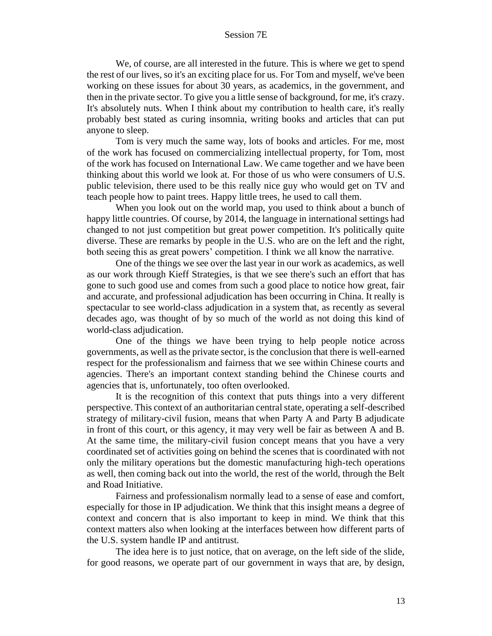We, of course, are all interested in the future. This is where we get to spend the rest of our lives, so it's an exciting place for us. For Tom and myself, we've been working on these issues for about 30 years, as academics, in the government, and then in the private sector. To give you a little sense of background, for me, it's crazy. It's absolutely nuts. When I think about my contribution to health care, it's really probably best stated as curing insomnia, writing books and articles that can put anyone to sleep.

Tom is very much the same way, lots of books and articles. For me, most of the work has focused on commercializing intellectual property, for Tom, most of the work has focused on International Law. We came together and we have been thinking about this world we look at. For those of us who were consumers of U.S. public television, there used to be this really nice guy who would get on TV and teach people how to paint trees. Happy little trees, he used to call them.

When you look out on the world map, you used to think about a bunch of happy little countries. Of course, by 2014, the language in international settings had changed to not just competition but great power competition. It's politically quite diverse. These are remarks by people in the U.S. who are on the left and the right, both seeing this as great powers' competition. I think we all know the narrative.

One of the things we see over the last year in our work as academics, as well as our work through Kieff Strategies, is that we see there's such an effort that has gone to such good use and comes from such a good place to notice how great, fair and accurate, and professional adjudication has been occurring in China. It really is spectacular to see world-class adjudication in a system that, as recently as several decades ago, was thought of by so much of the world as not doing this kind of world-class adjudication.

One of the things we have been trying to help people notice across governments, as well as the private sector, is the conclusion that there is well-earned respect for the professionalism and fairness that we see within Chinese courts and agencies. There's an important context standing behind the Chinese courts and agencies that is, unfortunately, too often overlooked.

It is the recognition of this context that puts things into a very different perspective. This context of an authoritarian central state, operating a self-described strategy of military-civil fusion, means that when Party A and Party B adjudicate in front of this court, or this agency, it may very well be fair as between A and B. At the same time, the military-civil fusion concept means that you have a very coordinated set of activities going on behind the scenes that is coordinated with not only the military operations but the domestic manufacturing high-tech operations as well, then coming back out into the world, the rest of the world, through the Belt and Road Initiative.

Fairness and professionalism normally lead to a sense of ease and comfort, especially for those in IP adjudication. We think that this insight means a degree of context and concern that is also important to keep in mind. We think that this context matters also when looking at the interfaces between how different parts of the U.S. system handle IP and antitrust.

The idea here is to just notice, that on average, on the left side of the slide, for good reasons, we operate part of our government in ways that are, by design,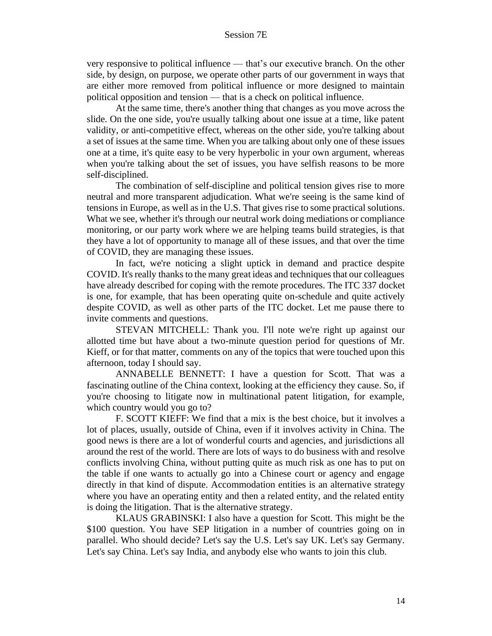very responsive to political influence — that's our executive branch. On the other side, by design, on purpose, we operate other parts of our government in ways that are either more removed from political influence or more designed to maintain political opposition and tension — that is a check on political influence.

At the same time, there's another thing that changes as you move across the slide. On the one side, you're usually talking about one issue at a time, like patent validity, or anti-competitive effect, whereas on the other side, you're talking about a set of issues at the same time. When you are talking about only one of these issues one at a time, it's quite easy to be very hyperbolic in your own argument, whereas when you're talking about the set of issues, you have selfish reasons to be more self-disciplined.

The combination of self-discipline and political tension gives rise to more neutral and more transparent adjudication. What we're seeing is the same kind of tensions in Europe, as well as in the U.S. That gives rise to some practical solutions. What we see, whether it's through our neutral work doing mediations or compliance monitoring, or our party work where we are helping teams build strategies, is that they have a lot of opportunity to manage all of these issues, and that over the time of COVID, they are managing these issues.

In fact, we're noticing a slight uptick in demand and practice despite COVID. It's really thanks to the many great ideas and techniques that our colleagues have already described for coping with the remote procedures. The ITC 337 docket is one, for example, that has been operating quite on-schedule and quite actively despite COVID, as well as other parts of the ITC docket. Let me pause there to invite comments and questions.

STEVAN MITCHELL: Thank you. I'll note we're right up against our allotted time but have about a two-minute question period for questions of Mr. Kieff, or for that matter, comments on any of the topics that were touched upon this afternoon, today I should say.

ANNABELLE BENNETT: I have a question for Scott. That was a fascinating outline of the China context, looking at the efficiency they cause. So, if you're choosing to litigate now in multinational patent litigation, for example, which country would you go to?

F. SCOTT KIEFF: We find that a mix is the best choice, but it involves a lot of places, usually, outside of China, even if it involves activity in China. The good news is there are a lot of wonderful courts and agencies, and jurisdictions all around the rest of the world. There are lots of ways to do business with and resolve conflicts involving China, without putting quite as much risk as one has to put on the table if one wants to actually go into a Chinese court or agency and engage directly in that kind of dispute. Accommodation entities is an alternative strategy where you have an operating entity and then a related entity, and the related entity is doing the litigation. That is the alternative strategy.

KLAUS GRABINSKI: I also have a question for Scott. This might be the \$100 question. You have SEP litigation in a number of countries going on in parallel. Who should decide? Let's say the U.S. Let's say UK. Let's say Germany. Let's say China. Let's say India, and anybody else who wants to join this club.